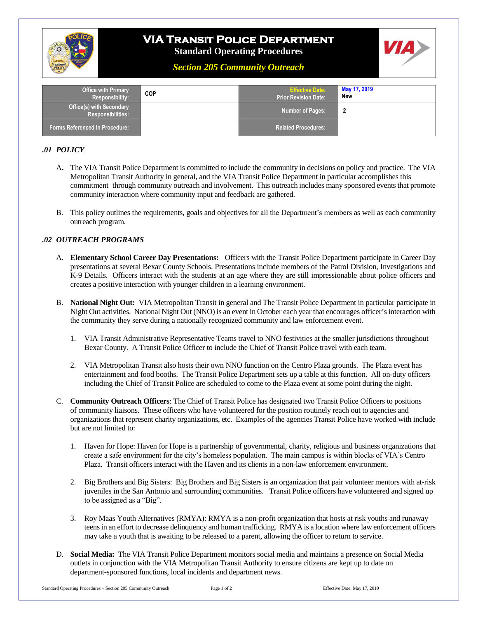

# **VIA Transit Police Department**

**Standard Operating Procedures**



*Section 205 Community Outreach*

| <b>Office with Primary</b><br><b>Responsibility:</b>        | <b>COP</b> | <b>Effective Date:</b><br><b>Prior Revision Date:</b> | May 17, 2019<br><b>New</b> |
|-------------------------------------------------------------|------------|-------------------------------------------------------|----------------------------|
| <b>Office(s) with Secondary</b><br><b>Responsibilities:</b> |            | <b>Number of Pages:</b>                               |                            |
| <b>Forms Referenced in Procedure:</b>                       |            | <b>Related Procedures:</b>                            |                            |

#### *.01 POLICY*

- A**.** The VIA Transit Police Department is committed to include the community in decisions on policy and practice. The VIA Metropolitan Transit Authority in general, and the VIA Transit Police Department in particular accomplishes this commitment through community outreach and involvement. This outreach includes many sponsored events that promote community interaction where community input and feedback are gathered.
- B. This policy outlines the requirements, goals and objectives for all the Department's members as well as each community outreach program.

#### *.02 OUTREACH PROGRAMS*

- A. **Elementary School Career Day Presentations:** Officers with the Transit Police Department participate in Career Day presentations at several Bexar County Schools. Presentations include members of the Patrol Division, Investigations and K-9 Details. Officers interact with the students at an age where they are still impressionable about police officers and creates a positive interaction with younger children in a learning environment.
- B. **National Night Out:** VIA Metropolitan Transit in general and The Transit Police Department in particular participate in Night Out activities. National Night Out (NNO) is an event in October each year that encourages officer's interaction with the community they serve during a nationally recognized community and law enforcement event.
	- 1. VIA Transit Administrative Representative Teams travel to NNO festivities at the smaller jurisdictions throughout Bexar County. A Transit Police Officer to include the Chief of Transit Police travel with each team.
	- 2. VIA Metropolitan Transit also hosts their own NNO function on the Centro Plaza grounds. The Plaza event has entertainment and food booths. The Transit Police Department sets up a table at this function. All on-duty officers including the Chief of Transit Police are scheduled to come to the Plaza event at some point during the night.
- C. **Community Outreach Officers**: The Chief of Transit Police has designated two Transit Police Officers to positions of community liaisons. These officers who have volunteered for the position routinely reach out to agencies and organizations that represent charity organizations, etc. Examples of the agencies Transit Police have worked with include but are not limited to:
	- 1. Haven for Hope: Haven for Hope is a partnership of governmental, charity, religious and business organizations that create a safe environment for the city's homeless population. The main campus is within blocks of VIA's Centro Plaza. Transit officers interact with the Haven and its clients in a non-law enforcement environment.
	- 2. Big Brothers and Big Sisters: Big Brothers and Big Sisters is an organization that pair volunteer mentors with at-risk juveniles in the San Antonio and surrounding communities. Transit Police officers have volunteered and signed up to be assigned as a "Big".
	- 3. Roy Maas Youth Alternatives (RMYA): RMYA is a non-profit organization that hosts at risk youths and runaway teens in an effort to decrease delinquency and human trafficking. RMYA is a location where law enforcement officers may take a youth that is awaiting to be released to a parent, allowing the officer to return to service.
- D. **Social Media:** The VIA Transit Police Department monitors social media and maintains a presence on Social Media outlets in conjunction with the VIA Metropolitan Transit Authority to ensure citizens are kept up to date on department-sponsored functions, local incidents and department news.